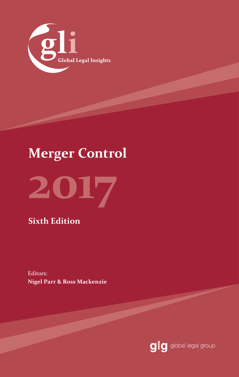

# **Merger Control**



**Sixth Edition**

Editors: **Nigel Parr & Ross Mackenzie**

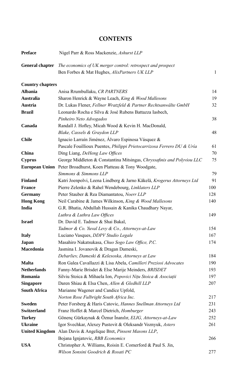# **CONTENTS**

| <b>Preface</b>          | Nigel Parr & Ross Mackenzie, Ashurst LLP                                |     |
|-------------------------|-------------------------------------------------------------------------|-----|
| <b>General chapter</b>  | The economics of UK merger control: retrospect and prospect             |     |
|                         | Ben Forbes & Mat Hughes, AlixPartners UK LLP                            | 1   |
| <b>Country chapters</b> |                                                                         |     |
| <b>Albania</b>          | Anisa Rrumbullaku, CR PARTNERS                                          | 14  |
| <b>Australia</b>        | Sharon Henrick & Wayne Leach, King & Wood Mallesons                     | 19  |
| Austria                 | Dr. Lukas Flener, Fellner Wratzfeld & Partner Rechtsanwälte GmbH        | 32  |
| <b>Brazil</b>           | Leonardo Rocha e Silva & José Rubens Battazza Iasbech,                  |     |
|                         | Pinheiro Neto Advogados                                                 | 38  |
| Canada                  | Randall J. Hofley, Micah Wood & Kevin H. MacDonald,                     |     |
|                         | Blake, Cassels & Graydon LLP                                            | 48  |
| <b>Chile</b>            | Ignacio Larraín Jiménez, Álvaro Espinosa Vásquez &                      |     |
|                         | Pascale Fouillioux Puentes, Philippi Prietocarrizosa Ferrero DU & Uría  | 61  |
| China                   | Ding Liang, DeHeng Law Offices                                          | 70  |
| Cyprus                  | George Middleton & Constantina Mitsingas, Chryssafinis and Polyviou LLC | 75  |
|                         | European Union Peter Broadhurst, Koen Platteau & Tony Woodgate,         |     |
|                         | Simmons & Simmons LLP                                                   | 79  |
| <b>Finland</b>          | Katri Joenpolvi, Leena Lindberg & Jarno Käkelä, Krogerus Attorneys Ltd  | 91  |
| <b>France</b>           | Pierre Zelenko & Rahel Wendebourg, Linklaters LLP                       | 100 |
| <b>Germany</b>          | Peter Stauber & Rea Diamantatou, Noerr LLP                              | 128 |
| <b>Hong Kong</b>        | Neil Carabine & James Wilkinson, King & Wood Mallesons                  | 140 |
| India                   | G.R. Bhatia, Abdullah Hussain & Kanika Chaudhary Nayar,                 |     |
|                         | Luthra & Luthra Law Offices                                             | 149 |
| <b>Israel</b>           | Dr. David E. Tadmor & Shai Bakal,                                       |     |
|                         | Tadmor & Co. Yuval Levy & Co., Attorneys-at-Law                         | 154 |
| <b>Italy</b>            | Luciano Vasques, DDPV Studio Legale                                     | 167 |
| Japan                   | Masahiro Nakatsukasa, Chuo Sogo Law Office, P.C.                        | 174 |
| Macedonia               | Jasmina I. Jovanovik & Dragan Dameski,                                  |     |
|                         | Debarliev, Dameski & Kelesoska, Attorneys at Law                        | 184 |
| <b>Malta</b>            | Ron Galea Cavallazzi & Lisa Abela, Camilleri Preziosi Advocates         | 190 |
| <b>Netherlands</b>      | Fanny-Marie Brisdet & Else Marije Meinders, BRISDET                     | 193 |
| Romania                 | Silviu Stoica & Mihaela Ion, Popovici Nițu Stoica & Asociații           | 197 |
| <b>Singapore</b>        | Daren Shiau & Elsa Chen, Allen & Gledhill LLP                           | 207 |
| <b>South Africa</b>     | Marianne Wagener and Candice Upfold,                                    |     |
|                         | Norton Rose Fulbright South Africa Inc.                                 | 217 |
| <b>Sweden</b>           | Peter Forsberg & Haris Catovic, Hannes Snellman Attorneys Ltd           | 231 |
| <b>Switzerland</b>      | Franz Hoffet & Marcel Dietrich, Homburger                               | 243 |
| <b>Turkey</b>           | Gönenç Gürkaynak & Öznur İnanılır, ELIG, Attorneys-at-Law               | 252 |
| <b>Ukraine</b>          | Igor Svechkar, Alexey Pustovit & Oleksandr Voznyuk, Asters              | 261 |
|                         | United Kingdom Alan Davis & Angelique Bret, Pinsent Masons LLP,         |     |
|                         | Bojana Ignjatovic, RBB Economics                                        | 266 |
| <b>USA</b>              | Christopher A. Williams, Roisin E. Comerford & Paul S. Jin,             |     |
|                         | Wilson Sonsini Goodrich & Rosati PC                                     | 277 |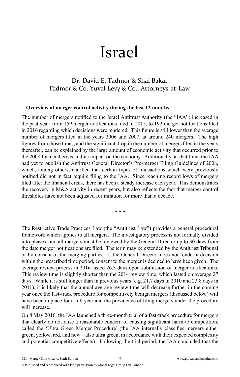# Israel

# Dr. David E. Tadmor & Shai Bakal Tadmor & Co. Yuval Levy & Co., Attorneys-at-Law

#### **Overview of merger control activity during the last 12 months**

The number of mergers notified to the Israel Antitrust Authority (the "IAA") increased in the past year: from 159 merger notifications filed in 2015, to 192 merger notifications filed in 2016 regarding which decisions were rendered. This figure is still lower than the average number of mergers filed in the years 2006 and 2007, at around 240 mergers. The high figures from those times, and the significant drop in the number of mergers filed in the years thereafter, can be explained by the large amount of economic activity that occurred prior to the 2008 financial crisis and its impact on the economy. Additionally, at that time, the IAA had yet to publish the Antitrust General Director's Pre-merger Filing Guidelines of 2008, which, among others, clarified that certain types of transactions which were previously notified did not in fact require filing to the IAA. Since reaching record lows of mergers filed after the financial crisis, there has been a steady increase each year. This demonstrates the recovery in M&A activity in recent years, but also reflects the fact that merger control thresholds have not been adjusted for inflation for more than a decade.

\* \* \*

The Restrictive Trade Practices Law (the "Antitrust Law") provides a general procedural framework which applies to all mergers. The investigatory process is not formally divided into phases, and all mergers must be reviewed by the General Director up to 30 days from the date merger notifications are filed. The term may be extended by the Antitrust Tribunal or by consent of the merging parties. If the General Director does not render a decision within the prescribed time period, consent to the merger is deemed to have been given. The average review process in 2016 lasted 26.3 days upon submission of merger notifications. This review time is slightly shorter than the 2014 review time, which lasted on average 27 days. While it is still longer than in previous years (e.g. 21.7 days in 2010 and 23.8 days in 2011), it is likely that the annual average review time will decrease further in the coming year once the fast-track procedure for competitively benign mergers (discussed below) will have been in place for a full year and the prevalence of filing mergers under the procedure will increase.

On 8 May 2016, the IAA launched a three-month trial of a fast-track procedure for mergers that clearly do not raise a reasonable concern of causing significant harm to competition. called the 'Ultra Green Merger Procedure' (the IAA internally classifies mergers either green, yellow, red, and now – also ultra green, in accordance with their expected complexity and potential competitive effects). Following the trial period, the IAA concluded that the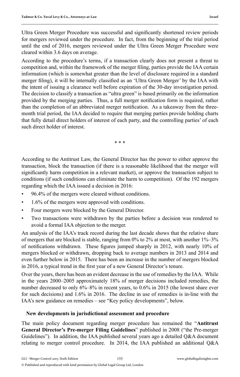Ultra Green Merger Procedure was successful and significantly shortened review periods for mergers reviewed under the procedure. In fact, from the beginning of the trial period until the end of 2016, mergers reviewed under the Ultra Green Merger Procedure were cleared within 3.6 days on average.

According to the procedure's terms, if a transaction clearly does not present a threat to competition and, within the framework of the merger filing, parties provide the IAA certain information (which is somewhat greater than the level of disclosure required in a standard merger filing), it will be internally classified as an 'Ultra Green Merger' by the IAA with the intent of issuing a clearance well before expiration of the 30-day investigation period. The decision to classify a transaction as "ultra green" is based primarily on the information provided by the merging parties. Thus, a full merger notification form is required, rather than the completion of an abbreviated merger notification. As a takeaway from the threemonth trial period, the IAA decided to require that merging parties provide holding charts that fully detail direct holders of interest of each party, and the controlling parties' of each such direct holder of interest.

\* \* \*

According to the Antitrust Law, the General Director has the power to either approve the transaction, block the transaction (if there is a reasonable likelihood that the merger will significantly harm competition in a relevant market), or approve the transaction subject to conditions (if such conditions can eliminate the harm to competition). Of the 192 mergers regarding which the IAA issued a decision in 2016:

- 96.4% of the mergers were cleared without conditions.
- 1.6% of the mergers were approved with conditions.
- Four mergers were blocked by the General Director.
- Two transactions were withdrawn by the parties before a decision was rendered to avoid a formal IAA objection to the merger.

An analysis of the IAA's track record during the last decade shows that the relative share of mergers that are blocked is stable, ranging from 0% to 2% at most, with another 1%–3% of notifications withdrawn. These figures jumped sharply in 2012, with nearly 10% of mergers blocked or withdrawn, dropping back to average numbers in 2013 and 2014 and even further below in 2015. There has been an increase in the number of mergers blocked in 2016, a typical trend in the first year of a new General Director's tenure.

Over the years, there has been an evident decrease in the use of remedies by the IAA. While in the years 2000–2005 approximately 18% of merger decisions included remedies, the number decreased to only 6%–8% in recent years, to 0.6% in 2015 (the lowest share ever for such decisions) and 1.6% in 2016. The decline in use of remedies is in-line with the IAA's new guidance on remedies – see "Key policy developments", below.

#### **New developments in jurisdictional assessment and procedure**

The main policy document regarding merger procedure has remained the "**Antitrust General Director's Pre-merger Filing Guidelines**" published in 2008 ("the Pre-merger Guidelines"). In addition, the IAA published several years ago a detailed Q&A document relating to merger control procedure. In 2014, the IAA published an additional Q&A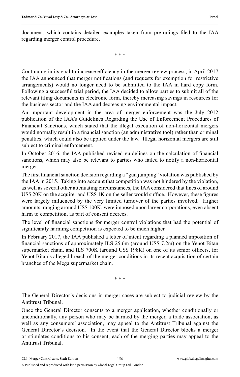document, which contains detailed examples taken from pre-rulings filed to the IAA regarding merger control procedure.

\* \* \*

Continuing in its goal to increase efficiency in the merger review process, in April 2017 the IAA announced that merger notifications (and requests for exemption for restrictive arrangements) would no longer need to be submitted to the IAA in hard copy form. Following a successful trial period, the IAA decided to allow parties to submit all of the relevant filing documents in electronic form, thereby increasing savings in resources for the business sector and the IAA and decreasing environmental impact.

An important development in the area of merger enforcement was the July 2012 publication of the IAA's Guidelines Regarding the Use of Enforcement Procedures of Financial Sanctions, which stated that the illegal execution of non-horizontal mergers would normally result in a financial sanction (an administrative tool) rather than criminal penalties, which could also be applied under the law. Illegal horizontal mergers are still subject to criminal enforcement.

In October 2016, the IAA published revised guidelines on the calculation of financial sanctions, which may also be relevant to parties who failed to notify a non-horizontal merger.

The first financial sanction decision regarding a "gun jumping" violation was published by the IAA in 2015. Taking into account that competition was not hindered by the violation, as well as several other attenuating circumstances, the IAA considered that fines of around US\$ 20K on the acquirer and US\$ 1K on the seller would suffice. However, these figures were largely influenced by the very limited turnover of the parties involved. Higher amounts, ranging around US\$ 100K, were imposed upon larger corporations, even absent harm to competition, as part of consent decrees.

The level of financial sanctions for merger control violations that had the potential of significantly harming competition is expected to be much higher.

In February 2017, the IAA published a letter of intent regarding a planned imposition of financial sanctions of approximately ILS  $25.6m$  (around US\$ 7.2m) on the Yenot Bitan supermarket chain, and ILS 700K (around US\$ 198K) on one of its senior officers, for Yenot Bitan's alleged breach of the merger conditions in its recent acquisition of certain branches of the Mega supermarket chain.

\* \* \*

The General Director's decisions in merger cases are subject to judicial review by the Antitrust Tribunal.

Once the General Director consents to a merger application, whether conditionally or unconditionally, any person who may be harmed by the merger, a trade association, as well as any consumers' association, may appeal to the Antitrust Tribunal against the General Director's decision. In the event that the General Director blocks a merger or stipulates conditions to his consent, each of the merging parties may appeal to the Antitrust Tribunal.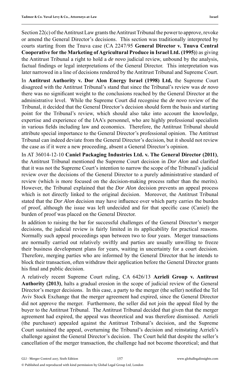Section 22(c) of the Antitrust Law grants the Antitrust Tribunal the power to approve, revoke or amend the General Director's decisions. This section was traditionally interpreted by courts starting from the Tnuva case (CA 2247/95 **General Director v. Tnuva Central Cooperative for the Marketing of Agricultural Produce in Israel Ltd. (1995)**) as giving the Antitrust Tribunal a right to hold a *de novo* judicial review, unbound by the analysis, factual findings or legal interpretations of the General Director. This interpretation was later narrowed in a line of decisions rendered by the Antitrust Tribunal and Supreme Court.

In **Antitrust Authority v. Dor Alon Energy Israel (1998) Ltd,** the Supreme Court disagreed with the Antitrust Tribunal's stand that since the Tribunal's review was *de novo*  there was no significant weight to the conclusions reached by the General Director at the administrative level. While the Supreme Court did recognise the *de novo* review of the Tribunal, it decided that the General Director's decision should form the basis and starting point for the Tribunal's review, which should also take into account the knowledge, expertise and experience of the IAA's personnel, who are highly professional specialists in various fields including law and economics. Therefore, the Antitrust Tribunal should attribute special importance to the General Director's professional opinion. The Antitrust Tribunal can indeed deviate from the General Director's decision, but it should not review the case as if it were a new proceeding, absent a General Director's opinion.

In AT 36014-12-10 **Caniel Packaging Industries Ltd. v. The General Director (2011)**, the Antitrust Tribunal mentioned the Supreme Court decision in *Dor Alon* and clarified that it was not the Supreme Court's intention to narrow the scope of the Tribunal's judicial review over the decisions of the General Director to a purely administrative standard of review (which is more focused on the decision-making process rather than the merits). However, the Tribunal explained that the *Dor Alon* decision prevents an appeal process which is not directly linked to the original decision. Moreover, the Antitrust Tribunal stated that the *Dor Alon* decision may have influence over which party carries the burden of proof, although the issue was left undecided and for that specifi c case (Caniel) the burden of proof was placed on the General Director.

In addition to raising the bar for successful challenges of the General Director's merger decisions, the judicial review is fairly limited in its applicability for practical reasons. Normally such appeal proceedings span between two to four years. Merger transactions are normally carried out relatively swiftly and parties are usually unwilling to freeze their business development plans for years, waiting in uncertainty for a court decision. Therefore, merging parties who are informed by the General Director that he intends to block their transaction, often withdraw their application before the General Director grants his final and public decision.

A relatively recent Supreme Court ruling, CA 6426/13 **Azrieli Group v. Antitrust Authority (2013)**, halts a gradual erosion in the scope of judicial review of the General Director's merger decisions. In this case, a party to the merger (the seller) notified the Tel Aviv Stock Exchange that the merger agreement had expired, since the General Director did not approve the merger. Furthermore, the seller did not join the appeal filed by the buyer to the Antitrust Tribunal. The Antitrust Tribunal decided that given that the merger agreement had expired, the appeal was theoretical and was therefore dismissed. Azrieli (the purchaser) appealed against the Antitrust Tribunal's decision, and the Supreme Court sustained the appeal, overturning the Tribunal's decision and reinstating Azrieli's challenge against the General Director's decision. The Court held that despite the seller's cancellation of the merger transaction, the challenge had not become theoretical; and that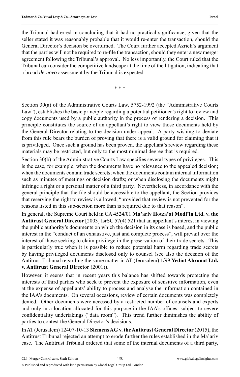the Tribunal had erred in concluding that it had no practical significance, given that the seller stated it was reasonably probable that it would re-enter the transaction, should the General Director's decision be overturned. The Court further accepted Azrieli's argument that the parties will not be required to re-file the transaction, should they enter a new merger agreement following the Tribunal's approval. No less importantly, the Court ruled that the Tribunal can consider the competitive landscape at the time of the litigation, indicating that a broad *de-novo* assessment by the Tribunal is expected.

\* \* \*

Section 30(a) of the Administrative Courts Law, 5752-1992 (the "Administrative Courts Law"), establishes the basic principle regarding a potential petitioner's right to review and copy documents used by a public authority in the process of rendering a decision. This principle constitutes the source of an appellant's right to view those documents held by the General Director relating to the decision under appeal. A party wishing to deviate from this rule bears the burden of proving that there is a valid ground for claiming that it is privileged. Once such a ground has been proven, the appellant's review regarding these materials may be restricted, but only to the most minimal degree that is required.

Section 30(b) of the Administrative Courts Law specifies several types of privileges. This is the case, for example, when the documents have no relevance to the appealed decision; when the documents contain trade secrets; when the documents contain internal information such as minutes of meetings or decision drafts; or when disclosing the documents might infringe a right or a personal matter of a third party. Nevertheless, in accordance with the general principle that the file should be accessible to the appellant, the Section provides that reserving the right to review is allowed, "provided that review is not prevented for the reasons listed in this sub-section more than is required due to that reason".

In general, the Supreme Court held in CA 4524/01 **Ma'ariv Hotza'at Modi'in Ltd. v. the Antitrust General Director** [2003] IsrSC 57(4) 521 that an appellant's interest in viewing the public authority's documents on which the decision in its case is based, and the public interest in the "conduct of an exhaustive, just and complete process", will prevail over the interest of those seeking to claim privilege in the preservation of their trade secrets. This is particularly true when it is possible to reduce potential harm regarding trade secrets by having privileged documents disclosed only to counsel (see also the decision of the Antitrust Tribunal regarding the same matter in AT (Jerusalem) 1/99 **Yediot Ahronot Ltd. v. Antitrust General Director** (2001)).

However, it seems that in recent years this balance has shifted towards protecting the interests of third parties who seek to prevent the exposure of sensitive information, even at the expense of appellants' ability to process and analyse the information contained in the IAA's documents. On several occasions, review of certain documents was completely denied. Other documents were accessed by a restricted number of counsels and experts and only in a location allocated for this purpose in the IAA's offices, subject to severe confidentiality undertakings ("data room"). This trend further diminishes the ability of parties to contest the General Director's decisions.

In AT (Jerusalem) 12407-10-13 **Siemens AG v. the Antitrust General Director** (2015), the Antitrust Tribunal rejected an attempt to erode further the rules established in the Ma'ariv case. The Antitrust Tribunal ordered that some of the internal documents of a third party,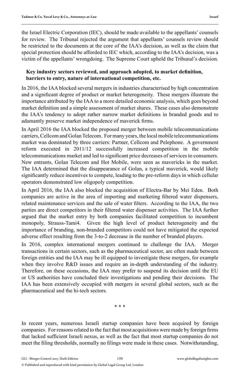the Israel Electric Corporation (IEC), should be made available to the appellants' counsels for review. The Tribunal rejected the argument that appellants' counsels review should be restricted to the documents at the core of the IAA's decision, as well as the claim that special protection should be afforded to IEC which, according to the IAA's decision, was a victim of the appellants' wrongdoing. The Supreme Court upheld the Tribunal's decision.

#### **Key industry sectors reviewed, and approach adopted, to market defi nition, barriers to entry, nature of international competition, etc.**

In 2016, the IAA blocked several mergers in industries characterised by high concentration and a significant degree of product or market heterogeneity. These mergers illustrate the importance attributed by the IAA to a more detailed economic analysis, which goes beyond market definition and a simple assessment of market shares. These cases also demonstrate the IAA's tendency to adopt rather narrow market definitions in branded goods and to adamantly preserve market independence of maverick firms.

In April 2016 the IAA blocked the proposed merger between mobile telecommunications carriers, Cellcom and Golan Telecom. For many years, the local mobile telecommunications market was dominated by three carriers: Partner, Cellcom and Pelephone. A government reform executed in 2011/12 successfully increased competition in the mobile telecommunications market and led to significant price decreases of services to consumers. New entrants, Golan Telecom and Hot Mobile, were seen as mavericks in the market. The IAA determined that the disappearance of Golan, a typical maverick, would likely significantly reduce incentives to compete, leading to the pre-reform days in which cellular operators demonstrated low oligopoly competition.

In April 2016, the IAA also blocked the acquisition of Electra-Bar by Mei Eden. Both companies are active in the area of importing and marketing filtered water dispensers, related maintenance services and the sale of water filters. According to the IAA, the two parties are direct competitors in their filtered water dispenser activities. The IAA further argued that the market entry by both companies facilitated competition to incumbent monopoly, Strauss-Tami4. Given the high level of product heterogeneity and the importance of branding, non-branded competitors could not have mitigated the expected adverse effect resulting from the 3-to-2 decrease in the number of branded players.

In 2016, complex international mergers continued to challenge the IAA. Merger transactions in certain sectors, such as the pharmaceutical sector, are often made between foreign entities and the IAA may be ill equipped to investigate these mergers, for example when they involve R&D issues and require an in-depth understanding of the industry. Therefore, on these occasions, the IAA may prefer to suspend its decision until the EU or US authorities have concluded their investigations and pending their decisions. The IAA has been extensively occupied with mergers in several global sectors, such as the pharmaceutical and the hi-tech sectors.

\* \* \*

In recent years, numerous Israeli startup companies have been acquired by foreign companies. For reasons related to the fact that most acquisitions were made by foreign firms that lacked sufficient Israeli nexus, as well as the fact that most startup companies do not meet the filing thresholds, normally no filings were made in these cases. Notwithstanding,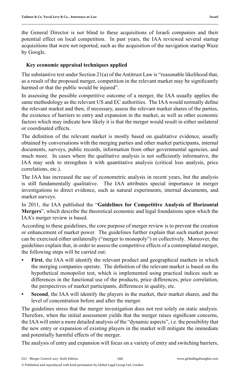the General Director is not blind to these acquisitions of Israeli companies and their potential effect on local competition. In past years, the IAA reviewed several startup acquisitions that were not reported, such as the acquisition of the navigation startup Waze by Google.

### **Key economic appraisal techniques applied**

The substantive test under Section 21(a) of the Antitrust Law is "reasonable likelihood that, as a result of the proposed merger, competition in the relevant market may be significantly harmed or that the public would be injured".

In assessing the possible competitive outcome of a merger, the IAA usually applies the same methodology as the relevant US and EC authorities. The IAA would normally define the relevant market and then, if necessary, assess the relevant market shares of the parties, the existence of barriers to entry and expansion in the market, as well as other economic factors which may indicate how likely it is that the merger would result in either unilateral or coordinated effects.

The definition of the relevant market is mostly based on qualitative evidence, usually obtained by conversations with the merging parties and other market participants, internal documents, surveys, public records, information from other governmental agencies, and much more. In cases where the qualitative analysis is not sufficiently informative, the IAA may seek to strengthen it with quantitative analysis (critical loss analysis, price correlations, etc.).

The IAA has increased the use of econometric analysis in recent years, but the analysis is still fundamentally qualitative. The IAA attributes special importance in merger investigations to direct evidence, such as natural experiments, internal documents, and market surveys.

In 2011, the IAA published the "**Guidelines for Competitive Analysis of Horizontal Mergers**", which describe the theoretical economic and legal foundations upon which the IAA's merger review is based.

According to these guidelines, the core purpose of merger review is to prevent the creation or enhancement of market power. The guidelines further explain that such market power can be exercised either unilaterally ("merger to monopoly") or collectively. Moreover, the guidelines explain that, in order to assess the competitive effects of a contemplated merger, the following steps will be carried out:

- **First**, the IAA will identify the relevant product and geographical markets in which the merging companies operate. The definition of the relevant market is based on the hypothetical monopolist test, which is implemented using practical indices such as differences in the functional use of the products, price differences, price correlation, the perspectives of market participants, differences in quality, etc.
- **Second**, the IAA will identify the players in the market, their market shares, and the level of concentration before and after the merger.

The guidelines stress that the merger investigation does not rest solely on static analysis. Therefore, when the initial assessment yields that the merger raises significant concerns, the IAA will enter a more detailed analysis of the "dynamic aspects", i.e. the possibility that the new entry or expansion of existing players in the market will mitigate the immediate and potentially harmful effects of the merger.

The analysis of entry and expansion will focus on a variety of entry and switching barriers,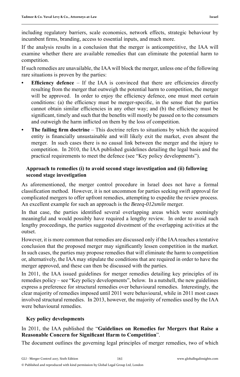including regulatory barriers, scale economics, network effects, strategic behaviour by incumbent firms, branding, access to essential inputs, and much more.

If the analysis results in a conclusion that the merger is anticompetitive, the IAA will examine whether there are available remedies that can eliminate the potential harm to competition.

If such remedies are unavailable, the IAA will block the merger, unless one of the following rare situations is proven by the parties:

- **Efficiency defence** If the IAA is convinced that there are efficiencies directly resulting from the merger that outweigh the potential harm to competition, the merger will be approved. In order to enjoy the efficiency defence, one must meet certain conditions: (a) the efficiency must be merger-specific, in the sense that the parties cannot obtain similar efficiencies in any other way; and (b) the efficiency must be significant, timely and such that the benefits will mostly be passed on to the consumers and outweigh the harm inflicted on them by the loss of competition.
- **The failing firm doctrine** This doctrine refers to situations by which the acquired entity is financially unsustainable and will likely exit the market, even absent the merger. In such cases there is no causal link between the merger and the injury to competition. In 2010, the IAA published guidelines detailing the legal basis and the practical requirements to meet the defence (see "Key policy developments").

### **Approach to remedies (i) to avoid second stage investigation and (ii) following second stage investigation**

As aforementioned, the merger control procedure in Israel does not have a formal classifi cation method. However, it is not uncommon for parties seeking swift approval for complicated mergers to offer upfront remedies, attempting to expedite the review process. An excellent example for such an approach is the *Bezeq-012smile* merger.

In that case, the parties identified several overlapping areas which were seemingly meaningful and would possibly have required a lengthy review. In order to avoid such lengthy proceedings, the parties suggested divestment of the overlapping activities at the outset.

However, it is more common that remedies are discussed only if the IAA reaches a tentative conclusion that the proposed merger may significantly lessen competition in the market. In such cases, the parties may propose remedies that will eliminate the harm to competition or, alternatively, the IAA may stipulate the conditions that are required in order to have the merger approved, and these can then be discussed with the parties.

In 2011, the IAA issued guidelines for merger remedies detailing key principles of its remedies policy – see "Key policy developments", below. In a nutshell, the new guidelines express a preference for structural remedies over behavioural remedies. Interestingly, the clear majority of remedies imposed until 2011 were behavioural, while in 2011 most cases involved structural remedies. In 2013, however, the majority of remedies used by the IAA were behavioural remedies.

## **Key policy developments**

# In 2011, the IAA published the "**Guidelines on Remedies for Mergers that Raise a Reasonable Concern for Significant Harm to Competition".**

The document outlines the governing legal principles of merger remedies, two of which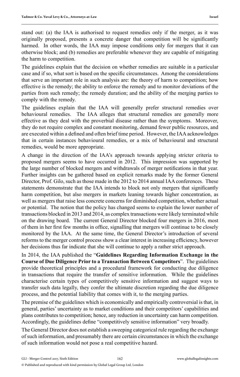stand out: (a) the IAA is authorised to request remedies only if the merger, as it was originally proposed, presents a concrete danger that competition will be significantly harmed. In other words, the IAA may impose conditions only for mergers that it can otherwise block; and (b) remedies are preferable whenever they are capable of mitigating the harm to competition.

The guidelines explain that the decision on whether remedies are suitable in a particular case and if so, what sort is based on the specific circumstances. Among the considerations that serve an important role in such analysis are: the theory of harm to competition; how effective is the remedy; the ability to enforce the remedy and to monitor deviations of the parties from such remedy; the remedy duration; and the ability of the merging parties to comply with the remedy.

The guidelines explain that the IAA will generally prefer structural remedies over behavioural remedies. The IAA alleges that structural remedies are generally more effective as they deal with the proverbial disease rather than the symptoms. Moreover, they do not require complex and constant monitoring, demand fewer public resources, and are executed within a defined and often brief time period. However, the IAA acknowledges that in certain instances behavioural remedies, or a mix of behavioural and structural remedies, would be more appropriate.

A change in the direction of the IAA's approach towards applying stricter criteria to proposed mergers seems to have occurred in 2012. This impression was supported by the large number of blocked mergers and withdrawals of merger notifications in that year. Further insights can be gathered based on explicit remarks made by the former General Director, Prof. Gilo, such as those made in the 2012 to 2014 annual IAA conferences. These statements demonstrate that the IAA intends to block not only mergers that significantly harm competition, but also mergers in markets leaning towards higher concentration, as well as mergers that raise less concrete concerns for diminished competition, whether actual or potential. The notion that the policy has changed seems to explain the lower number of transactions blocked in 2013 and 2014, as complex transactions were likely terminated while on the drawing board. The current General Director blocked four mergers in 2016, most of them in her first few months in office, signalling that mergers will continue to be closely monitored by the IAA. At the same time, the General Director's introduction of several reforms to the merger control process show a clear interest in increasing efficiency, however her decisions thus far indicate that she will continue to apply a rather strict approach.

In 2014, the IAA published the "**Guidelines Regarding Information Exchange in the Course of Due Diligence Prior to a Transaction Between Competitors**". The guidelines provide theoretical principles and a procedural framework for conducting due diligence in transactions that require the transfer of sensitive information. While the guidelines characterise certain types of competitively sensitive information and suggest ways to transfer such data legally, they confer the ultimate discretion regarding the due diligence process, and the potential liability that comes with it, to the merging parties.

The premise of the guidelines which is economically and empirically controversial is that, in general, parties' uncertainty as to market conditions and their competitors' capabilities and plans contributes to competition; hence, any reduction in uncertainty can harm competition. Accordingly, the guidelines define "competitively sensitive information" very broadly.

The General Director does not establish a sweeping categorical rule regarding the exchange of such information, and presumably there are certain circumstances in which the exchange of such information would not pose a real competitive hazard.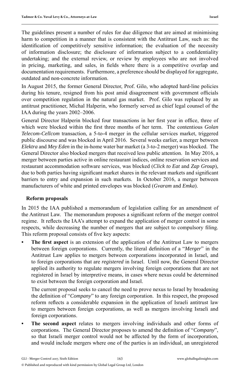The guidelines present a number of rules for due diligence that are aimed at minimising harm to competition in a manner that is consistent with the Antitrust Law, such as: the identification of competitively sensitive information; the evaluation of the necessity of information disclosure; the disclosure of information subject to a confidentiality undertaking; and the external review, or review by employees who are not involved in pricing, marketing, and sales, in fields where there is a competitive overlap and documentation requirements. Furthermore, a preference should be displayed for aggregate, outdated and non-concrete information.

In August 2015, the former General Director, Prof. Gilo, who adopted hard-line policies during his tenure, resigned from his post amid disagreement with government officials over competition regulation in the natural gas market. Prof. Gilo was replaced by an antitrust practitioner, Michal Halperin, who formerly served as chief legal counsel of the IAA during the years 2002–2006.

General Director Halperin blocked four transactions in her first year in office, three of which were blocked within the first three months of her term. The contentious *Golan Telecom-Cellcom* transaction, a 5-to-4 merger in the cellular services market, triggered public discourse and was blocked in April 2016. Several weeks earlier, a merger between *Elektra* and *Mey Eden* in the in-home water bar market (a 3-to-2 merger) was blocked. The General Director also blocked mergers that received less public attention. In May 2016, a merger between parties active in online restaurant indices, online reservation services and restaurant accommodation software services, was blocked (*Click to Eat* and *Zap Group*), due to both parties having significant market shares in the relevant markets and significant barriers to entry and expansion in such markets. In October 2016, a merger between manufacturers of white and printed envelopes was blocked (*Gvaram* and *Emka*).

#### **Reform proposals**

In 2015 the IAA published a memorandum of legislation calling for an amendment of the Antitrust Law. The memorandum proposes a significant reform of the merger control regime. It reflects the IAA's attempt to expand the application of merger control in some respects, while decreasing the number of mergers that are subject to compulsory filing. This reform proposal consists of five key aspects:

The first aspect is an extension of the application of the Antitrust Law to mergers between foreign corporations. Currently, the literal definition of a "*Merger*" in the Antitrust Law applies to mergers between corporations incorporated in Israel, and to foreign corporations that are *registered* in Israel. Until now, the General Director applied its authority to regulate mergers involving foreign corporations that are not registered in Israel by interpretive means, in cases where nexus could be determined to exist between the foreign corporation and Israel.

 The current proposal seeks to cancel the need to prove nexus to Israel by broadening the definition of "*Company*" to any foreign corporation. In this respect, the proposed reform reflects a considerable expansion in the application of Israeli antitrust law to mergers between foreign corporations, as well as mergers involving Israeli and foreign corporations.

**• The second aspect** relates to mergers involving individuals and other forms of corporations. The General Director proposes to amend the definition of "*Company*", so that Israeli merger control would not be affected by the form of incorporation, and would include mergers where one of the parties is an individual, an unregistered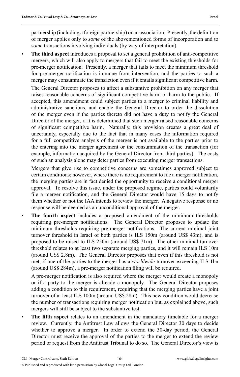partnership (including a foreign partnership) or an association. Presently, the definition of merger applies only to *some* of the abovementioned forms of incorporation and to *some* transactions involving individuals (by way of interpretation).

**• The third aspect** introduces a proposal to set a general prohibition of anti-competitive mergers, which will also apply to mergers that fail to meet the existing thresholds for pre-merger notification. Presently, a merger that fails to meet the minimum threshold for pre-merger notification is immune from intervention, and the parties to such a merger may consummate the transaction even if it entails significant competitive harm.

 The General Director proposes to affect a substantive prohibition on any merger that raises reasonable concerns of significant competitive harm or harm to the public. If accepted, this amendment could subject parties to a merger to criminal liability and administrative sanctions, and enable the General Director to order the dissolution of the merger even if the parties thereto did not have a duty to notify the General Director of the merger, if it is determined that such merger raised reasonable concerns of significant competitive harm. Naturally, this provision creates a great deal of uncertainty, especially due to the fact that in many cases the information required for a full competitive analysis of the merger is not available to the parties prior to the entering into the merger agreement or the consummation of the transaction (for example, information acquired by the General Director from third parties). The costs of such an analysis alone may deter parties from executing merger transactions.

 Mergers that give rise to competitive concerns are sometimes approved subject to certain conditions; however, where there is no requirement to file a merger notification, the merging parties are in fact denied the opportunity to receive a conditional merger approval. To resolve this issue, under the proposed regime, parties could voluntarily file a merger notification, and the General Director would have 15 days to notify them whether or not the IAA intends to review the merger. A negative response or no response will be deemed as an unconditional approval of the merger.

**• The fourth aspect** includes a proposed amendment of the minimum thresholds requiring pre-merger notifications. The General Director proposes to update the minimum thresholds requiring pre-merger notifications. The current minimal joint turnover threshold in Israel of both parties is ILS 150m (around US\$ 43m), and is proposed to be raised to ILS 250m (around US\$ 71m). The other minimal turnover threshold relates to at least two separate merging parties, and it will remain ILS 10m (around US\$ 2.8m). The General Director proposes that even if this threshold is not met, if one of the parties to the merger has a *worldwide* turnover exceeding ILS 1bn (around US\$ 284m), a pre-merger notification filing will be required.

A pre-merger notification is also required where the merger would create a monopoly or if a party to the merger is already a monopoly. The General Director proposes adding a condition to this requirement, requiring that the merging parties have a joint turnover of at least ILS 100m (around US\$ 28m). This new condition would decrease the number of transactions requiring merger notification but, as explained above, such mergers will still be subject to the substantive test.

**• The fi fth aspect** relates to an amendment in the mandatory timetable for a merger review. Currently, the Antitrust Law allows the General Director 30 days to decide whether to approve a merger. In order to extend the 30-day period, the General Director must receive the approval of the parties to the merger to extend the review period or request from the Antitrust Tribunal to do so. The General Director's view is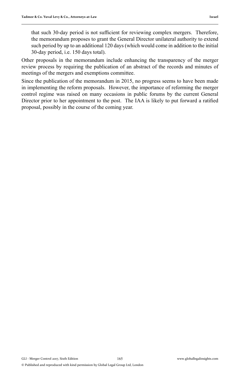that such 30-day period is not sufficient for reviewing complex mergers. Therefore, the memorandum proposes to grant the General Director unilateral authority to extend such period by up to an additional 120 days (which would come in addition to the initial 30-day period, i.e. 150 days total).

Other proposals in the memorandum include enhancing the transparency of the merger review process by requiring the publication of an abstract of the records and minutes of meetings of the mergers and exemptions committee.

Since the publication of the memorandum in 2015, no progress seems to have been made in implementing the reform proposals. However, the importance of reforming the merger control regime was raised on many occasions in public forums by the current General Director prior to her appointment to the post. The IAA is likely to put forward a ratified proposal, possibly in the course of the coming year.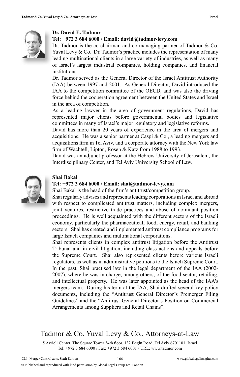

#### **Dr. David E. Tadmor**

#### **Tel: +972 3 684 6000 / Email: david@tadmor-levy.com**

Dr. Tadmor is the co-chairman and co-managing partner of Tadmor & Co. Yuval Levy & Co. Dr. Tadmor's practice includes the representation of many leading multinational clients in a large variety of industries, as well as many of Israel's largest industrial companies, holding companies, and financial institutions.

Dr. Tadmor served as the General Director of the Israel Antitrust Authority (IAA) between 1997 and 2001. As General Director, David introduced the IAA to the competition committee of the OECD, and was also the driving force behind the cooperation agreement between the United States and Israel in the area of competition.

As a leading lawyer in the area of government regulations, David has represented major clients before governmental bodies and legislative committees in many of Israel's major regulatory and legislative reforms.

David has more than 20 years of experience in the area of mergers and acquisitions. He was a senior partner at Caspi & Co., a leading mergers and acquisitions firm in Tel Aviv, and a corporate attorney with the New York law firm of Wachtell, Lipton, Rosen & Katz from 1988 to 1993.

David was an adjunct professor at the Hebrew University of Jerusalem, the Interdisciplinary Center, and Tel Aviv University School of Law.



#### **Shai Bakal**

#### **Tel: +972 3 684 6000 / Email: shai@tadmor-levy.com**

Shai Bakal is the head of the firm's antitrust/competition group.

Shai regularly advises and represents leading corporations in Israel and abroad with respect to complicated antitrust matters, including complex mergers, joint ventures, restrictive trade practices and abuse of dominant position j proceedings. He is well acquainted with the different sectors of the Israeli economy, particularly the pharmaceutical, food, energy, retail, and banking sectors. Shai has created and implemented antitrust compliance programs for large Israeli companies and multinational corporations.

Shai represents clients in complex antitrust litigation before the Antitrust Tribunal and in civil litigation, including class actions and appeals before the Supreme Court. Shai also represented clients before various Israeli regulators, as well as in administrative petitions to the Israeli Supreme Court. In the past, Shai practised law in the legal department of the IAA (2002- 2007), where he was in charge, among others, of the food sector, retailing, and intellectual property. He was later appointed as the head of the IAA's mergers team. During his term at the IAA, Shai drafted several key policy documents, including the "Antitrust General Director's Premerger Filing Guidelines" and the "Antitrust General Director's Position on Commercial Arrangements among Suppliers and Retail Chains".

# Tadmor & Co. Yuval Levy & Co., Attorneys-at-Law

5 Azrieli Center, The Square Tower 34th floor, 132 Begin Road, Tel Aviv 6701101, Israel Tel: +972 3 684 6000 / Fax: +972 3 684 6001 / URL: www.tadmor.com